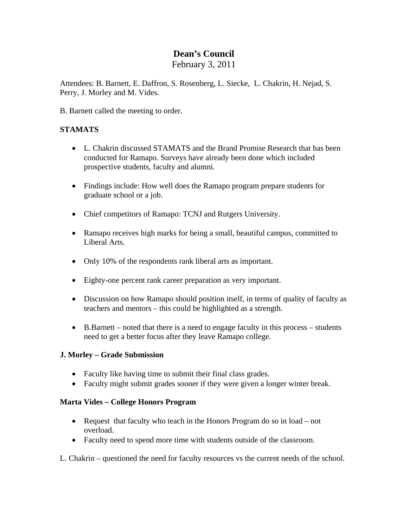# **Dean's Council**

February 3, 2011

Attendees: B. Barnett, E. Daffron, S. Rosenberg, L. Siecke, L. Chakrin, H. Nejad, S. Perry, J. Morley and M. Vides.

B. Barnett called the meeting to order.

## **STAMATS**

- L. Chakrin discussed STAMATS and the Brand Promise Research that has been conducted for Ramapo. Surveys have already been done which included prospective students, faculty and alumni.
- Findings include: How well does the Ramapo program prepare students for graduate school or a job.
- Chief competitors of Ramapo: TCNJ and Rutgers University.
- Ramapo receives high marks for being a small, beautiful campus, committed to Liberal Arts.
- Only 10% of the respondents rank liberal arts as important.
- Eighty-one percent rank career preparation as very important.
- Discussion on how Ramapo should position itself, in terms of quality of faculty as teachers and mentors – this could be highlighted as a strength.
- B.Barnett noted that there is a need to engage faculty in this process students need to get a better focus after they leave Ramapo college.

### **J. Morley – Grade Submission**

- Faculty like having time to submit their final class grades.
- Faculty might submit grades sooner if they were given a longer winter break.

### **Marta Vides – College Honors Program**

- Request that faculty who teach in the Honors Program do so in load not overload.
- Faculty need to spend more time with students outside of the classroom.

L. Chakrin – questioned the need for faculty resources vs the current needs of the school.